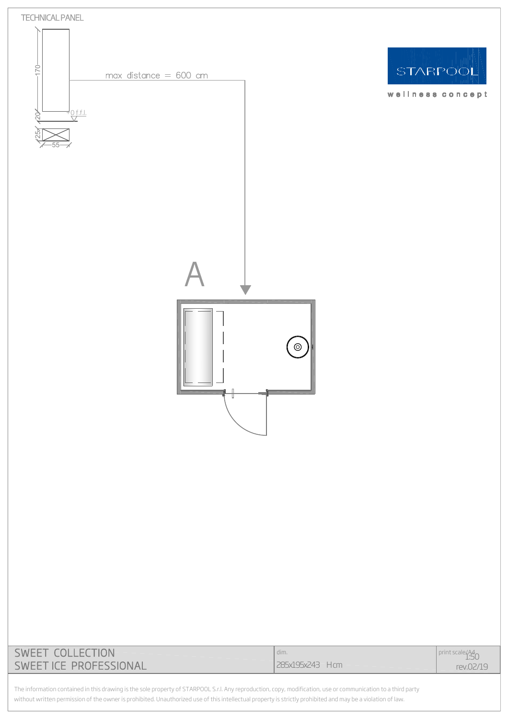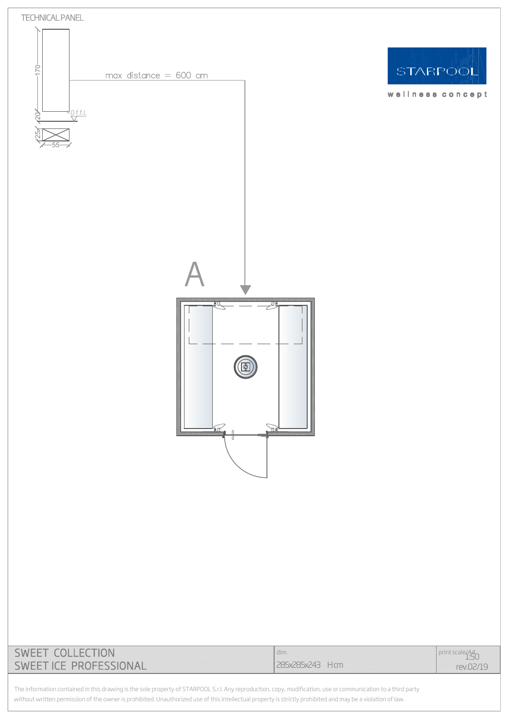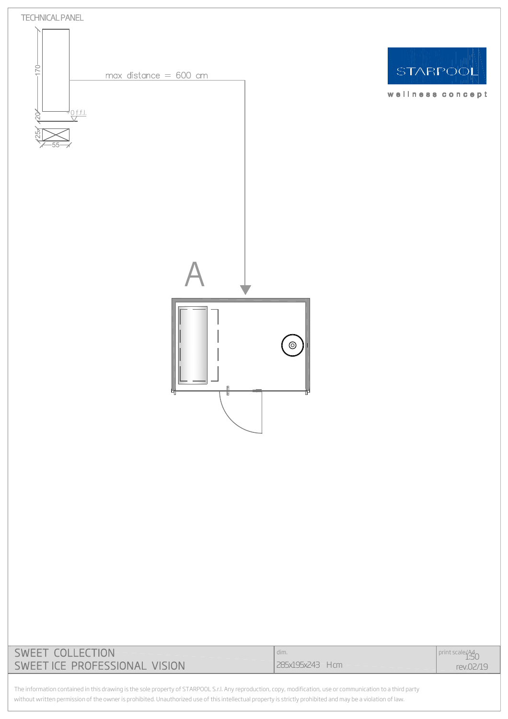